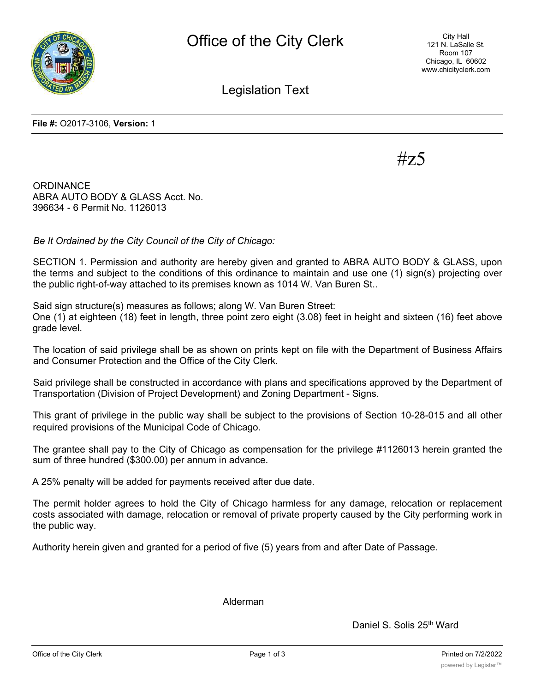

City Hall 121 N. LaSalle St. Room 107 Chicago, IL 60602 www.chicityclerk.com

Legislation Text

**File #:** O2017-3106, **Version:** 1

 $\#$ z

**ORDINANCE** ABRA AUTO BODY & GLASS Acct. No. 396634 - 6 Permit No. 1126013

*Be It Ordained by the City Council of the City of Chicago:*

SECTION 1. Permission and authority are hereby given and granted to ABRA AUTO BODY & GLASS, upon the terms and subject to the conditions of this ordinance to maintain and use one (1) sign(s) projecting over the public right-of-way attached to its premises known as 1014 W. Van Buren St..

Said sign structure(s) measures as follows; along W. Van Buren Street: One (1) at eighteen (18) feet in length, three point zero eight (3.08) feet in height and sixteen (16) feet above grade level.

The location of said privilege shall be as shown on prints kept on file with the Department of Business Affairs and Consumer Protection and the Office of the City Clerk.

Said privilege shall be constructed in accordance with plans and specifications approved by the Department of Transportation (Division of Project Development) and Zoning Department - Signs.

This grant of privilege in the public way shall be subject to the provisions of Section 10-28-015 and all other required provisions of the Municipal Code of Chicago.

The grantee shall pay to the City of Chicago as compensation for the privilege #1126013 herein granted the sum of three hundred (\$300.00) per annum in advance.

A 25% penalty will be added for payments received after due date.

The permit holder agrees to hold the City of Chicago harmless for any damage, relocation or replacement costs associated with damage, relocation or removal of private property caused by the City performing work in the public way.

Authority herein given and granted for a period of five (5) years from and after Date of Passage.

Alderman

Daniel S. Solis 25<sup>th</sup> Ward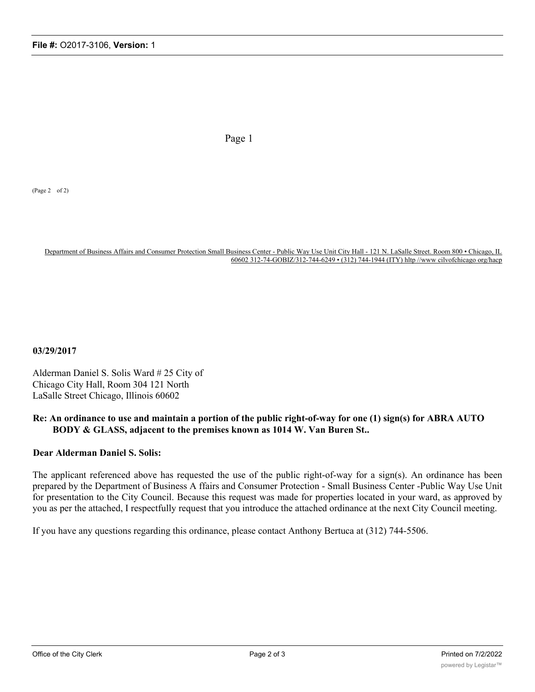Page 1

(Page 2 of 2)

Department of Business Affairs and Consumer Protection Small Business Center - Public Way Use Unit City Hall - 121 N. LaSalle Street. Room 800 • Chicago, IL 60602 312-74-GOBIZ/312-744-6249 • (312) 744-1944 (ITY) hltp //www cilvofchicago org/hacp

**03/29/2017**

Alderman Daniel S. Solis Ward # 25 City of Chicago City Hall, Room 304 121 North LaSalle Street Chicago, Illinois 60602

## **Re: An ordinance to use and maintain a portion of the public right-of-way for one (1) sign(s) for ABRA AUTO BODY & GLASS, adjacent to the premises known as 1014 W. Van Buren St..**

## **Dear Alderman Daniel S. Solis:**

The applicant referenced above has requested the use of the public right-of-way for a sign(s). An ordinance has been prepared by the Department of Business A ffairs and Consumer Protection - Small Business Center -Public Way Use Unit for presentation to the City Council. Because this request was made for properties located in your ward, as approved by you as per the attached, I respectfully request that you introduce the attached ordinance at the next City Council meeting.

If you have any questions regarding this ordinance, please contact Anthony Bertuca at (312) 744-5506.